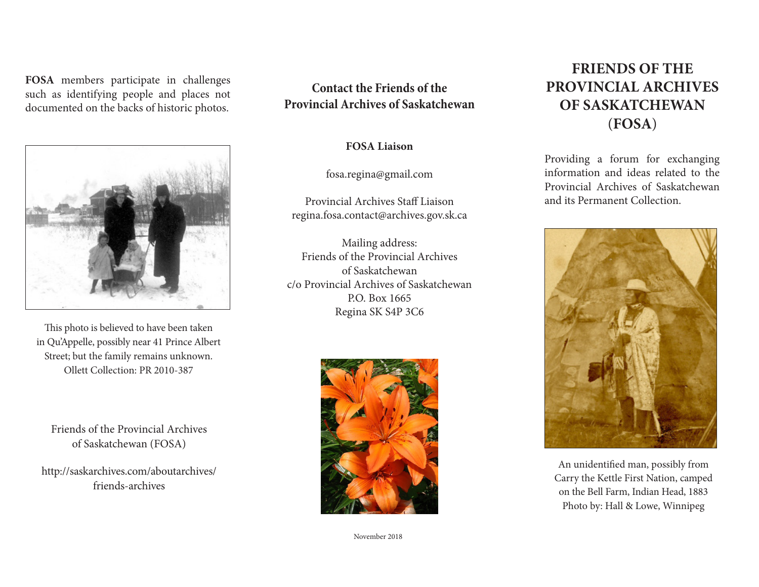**FOSA** members participate in challenges such as identifying people and places not documented on the backs of historic photos.



This photo is believed to have been taken in Qu'Appelle, possibly near 41 Prince Albert Street; but the family remains unknown. Ollett Collection: PR 2010-387

Friends of the Provincial Archives of Saskatchewan (FOSA)

http://saskarchives.com/aboutarchives/ friends-archives

## **Contact the Friends of the Provincial Archives of Saskatchewan**

**FOSA Liaison**

fosa.regina@gmail.com

Provincial Archives Staff Liaison regina.fosa.contact@archives.gov.sk.ca

Mailing address: Friends of the Provincial Archives of Saskatchewan c/o Provincial Archives of Saskatchewan P.O. Box 1665 Regina SK S4P 3C6



November 2018

# **FRIENDS OF THE PROVINCIAL ARCHIVES OF SASKATCHEWAN** (**FOSA**)

Providing a forum for exchanging information and ideas related to the Provincial Archives of Saskatchewan and its Permanent Collection.



An unidentified man, possibly from Carry the Kettle First Nation, camped on the Bell Farm, Indian Head, 1883 Photo by: Hall & Lowe, Winnipeg